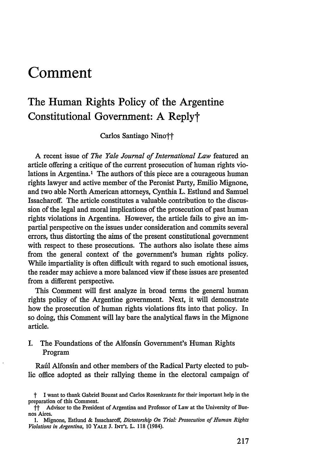# **Comment**

# The Human Rights Policy of the Argentine Constitutional Government: **A** Replyt

Carlos Santiago Nino††

A recent issue of *The Yale Journal of International Law* featured an article offering a critique of the current prosecution of human rights violations in Argentina.<sup>1</sup> The authors of this piece are a courageous human rights lawyer and active member of the Peronist Party, Emilio Mignone, and two able North American attorneys, Cynthia L. Estlund and Samuel Issacharoff. The article constitutes a valuable contribution to the discussion of the legal and moral implications of the prosecution of past human rights violations in Argentina. However, the article fails to give an impartial perspective on the issues under consideration and commits several errors, thus distorting the aims of the present constitutional government with respect to these prosecutions. The authors also isolate these aims from the general context of the government's human rights policy. While impartiality is often difficult with regard to such emotional issues, the reader may achieve a more balanced view if these issues are presented from a different perspective.

This Comment will first analyze in broad terms the general human rights policy of the Argentine government. Next, it will demonstrate how the prosecution of human rights violations fits into that policy. In so doing, this Comment will lay bare the analytical flaws in the Mignone article.

# I. The Foundations of the Alfonsin Government's Human Rights Program

Rafil Alfonsin and other members of the Radical Party elected to public office adopted as their rallying theme in the electoral campaign of

t I want to thank Gabriel Bouzat and Carlos Rosenkrantz for their important help in the preparation of this Comment.

 $\dot{\mathsf{T}}$  Advisor to the President of Argentina and Professor of Law at the University of Buenos Aires.

<sup>1.</sup> Mignone, Estlund & Issacharoff, *Dictatorship On Trial: Prosecution of Human Rights Violations in Argentina,* 10 YA.E J. **INT'L** L. 118 (1984).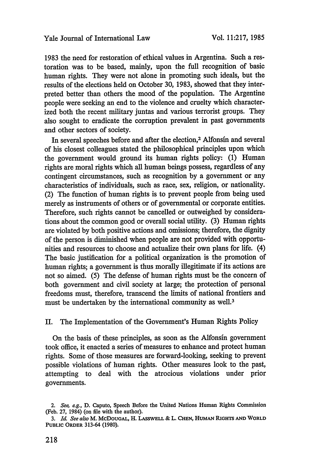1983 the need for restoration of ethical values in Argentina. Such a restoration was to be based, mainly, upon the full recognition of basic human rights. They were not alone in promoting such ideals, but the results of the elections held on October 30, 1983, showed that they interpreted better than others the mood of the population. The Argentine people were seeking an end to the violence and cruelty which characterized both the recent military juntas and various terrorist groups. They also sought to eradicate the corruption prevalent in past governments and other sectors of society.

In several speeches before and after the election,<sup>2</sup> Alfonsin and several of his closest colleagues stated the philosophical principles upon which the government would ground its human rights policy: (1) Human rights are moral rights which all human beings possess, regardless of any contingent circumstances, such as recognition by a government or any characteristics of individuals, such as race, sex, religion, or nationality. (2) The function of human rights is to prevent people from being used merely as instruments of others or of governmental or corporate entities. Therefore, such rights cannot be cancelled or outweighed by considerations about the common good or overall social utility. (3) Human rights are violated by both positive actions and omissions; therefore, the dignity of the person is diminished when people are not provided with opportunities and resources to choose and actualize their own plans for life. (4) The basic justification for a political organization is the promotion of human rights; a government is thus morally illegitimate if its actions are not so aimed. (5) The defense of human rights must be the concern of both government and civil society at large; the protection of personal freedoms must, therefore, transcend the limits of national frontiers and must be undertaken by the international community as well.<sup>3</sup>

II. The Implementation of the Government's Human Rights Policy

On the basis of these principles, as soon as the Alfonsim government took office, it enacted a series of measures to enhance and protect human rights. Some of those measures are forward-looking, seeking to prevent possible violations of human rights. Other measures look to the past, attempting to deal with the atrocious violations under prior governments.

*<sup>2.</sup>* See, e.g., **D.** Caputo, Speech Before the United Nations Human Rights Commission (Feb. 27, 1984) (on file with the author).

*<sup>3.</sup> Id. See also* M. McDoUGAL, H. LASswELL & L. **CHEN, HUMAN RIGHTS AND WORLD PUBLIC ORDER** 313-64 (1980).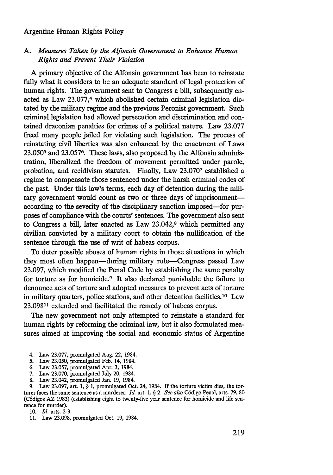# *A. Measures Taken by the Alfonsih Government to Enhance Human Rights and Prevent Their Violation*

A primary objective of the Alfonsin government has been to reinstate fully what it considers to be an adequate standard of legal protection of human rights. The government sent to Congress a bill, subsequently enacted as Law 23.077,<sup>4</sup> which abolished certain criminal legislation dictated by the military regime and the previous Peronist government. Such criminal legislation had allowed persecution and discrimination and contained draconian penalties for crimes of a political nature. Law 23.077 freed many people jailed for violating such legislation. The process of reinstating civil liberties was also enhanced by the enactment of Laws 23.0505 and 23.0576. These laws, also proposed by the Alfonsin administration, liberalized the freedom of movement permitted under parole, probation, and recidivism statutes. Finally, Law 23.0707 established a regime to compensate those sentenced under the harsh criminal codes of the past. Under this law's terms, each day of detention during the military government would count as two or three days of imprisonmentaccording to the severity of the disciplinary sanction imposed-for purposes of compliance with the courts' sentences. The government also sent to Congress a bill, later enacted as Law 23.042,<sup>8</sup> which permitted any civilian convicted by a military court to obtain the nullification of the sentence through the use of writ of habeas corpus.

To deter possible abuses of human rights in those situations in which they most often happen—during military rule—Congress passed Law 23.097, which modified the Penal Code by establishing the same penalty for torture as for homicide.9 It also declared punishable the failure to denounce acts of torture and adopted measures to prevent acts of torture in military quarters, police stations, and other detention facilities. 10 Law 23.09811 extended and facilitated the remedy of habeas corpus.

The new government not only attempted to reinstate a standard for human rights by reforming the criminal law, but it also formulated measures aimed at improving the social and economic status of Argentine

- 4. Law 23.077, promulgated Aug. 22, 1984.
- *5.* Law 23.050, promulgated Feb. 14, 1984.
- 6. Law 23.057, promulgated Apr. 3, 1984.
- 7. Law 23.070, promulgated July 20, 1984.
- 8. Law 23.042, promulgated Jan. 19, 1984.

9. Law 23.097, art. 1, § 1, promulgated Oct. 24, 1984. If the torture victim dies, the torturer faces the same sentence as a murderer. *Id.* art. 1, § *2. See also* C6digo Penal, arts. 79, 80 (C6digos AZ 1983) (establishing eight to twenty-five year sentence for homicide and life sentence for murder).

10. *Id.* arts. 2-3.

11. Law 23.098, promulgated Oct. 19, 1984.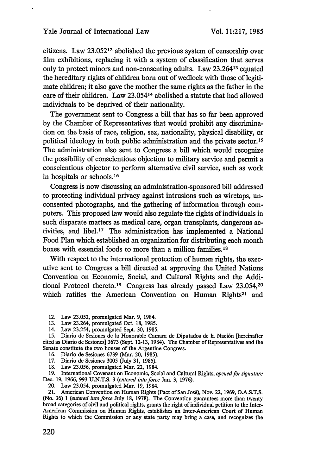citizens. Law 23.05212 abolished the previous system of censorship over film exhibitions, replacing it with a system of classification that serves only to protect minors and non-consenting adults. Law 23.26413 equated the hereditary rights of children born out of wedlock with those of legitimate children; it also gave the mother the same rights as the father in the care of their children. Law 23.054<sup>14</sup> abolished a statute that had allowed individuals to be deprived of their nationality.

The government sent to Congress a bill that has so far been approved by the Chamber of Representatives that would prohibit any discrimination on the basis of race, religion, sex, nationality, physical disability, or political ideology in both public administration and the private sector. <sup>15</sup> The administration also sent to Congress a bill which would recognize the possibility of conscientious objection to military service and permit a conscientious objector to perform alternative civil service, such as work in hospitals or schools. 16

Congress is now discussing an administration-sponsored bill addressed to protecting individual privacy against intrusions such as wiretaps, unconsented photographs, and the gathering of information through computers. This proposed law would also regulate the rights of individuals in such disparate matters as medical care, organ transplants, dangerous activities, and libel.<sup>17</sup> The administration has implemented a National Food Plan which established an organization for distributing each month boxes with essential foods to more than a million families.18

With respect to the international protection of human rights, the executive sent to Congress a bill directed at approving the United Nations Convention on Economic, Social, and Cultural Rights and the Additional Protocol thereto.<sup>19</sup> Congress has already passed Law  $23.054$ ,<sup>20</sup> which ratifies the American Convention on Human Rights<sup>21</sup> and

- 12. Law 23.052, promulgated Mar. 9, 1984.
- 13. Law 23.264, promulgated Oct. 18, 1985.
- 14. Law 23.254, promulgated Sept. 30, 1985.

15. Diario de Sesiones de la Honorable Camara de Diputados de la Nación [hereinafter cited as Diafio de Sesiones] 3673 (Sept. 12-13, 1984). The Chamber of Representatives and the Senate constitute the two houses of the Argentine Congress.

- 16. Diario de Sesiones 6739 (Mar. 20, 1985).
- 17. Diario de Sesiones 3005 (July 31, 1985).
- 18. Law 23.056, promulgated Mar. 22, 1984.

19. International Covenant on Economic, Social and Cultural Rights, *opened for signature* Dec. 19, 1966, 993 U.N.T.S. 3 *(entered into force* Jan. 3, 1976).

20. Law 23.054, promulgated Mar. 19, 1984.

21. American Convention on Human Rights (Pact of San Jos6), Nov. 22, 1969, O.A.S.T.S. (No. 36) *1 (entered into force* July 18, 1978). The Convention guarantees more than twenty broad categories of civil and political rights, grants the right of individual petition to the Inter-American Commission on Human Rights, establishes an Inter-American Court of Human Rights to which the Commission or any state party may bring a case, and recognizes the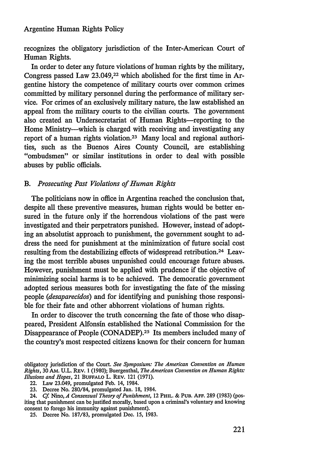recognizes the obligatory jurisdiction of the Inter-American Court of Human Rights.

In order to deter any future violations of human rights by the military, Congress passed Law 23.049,22 which abolished for the first time in Argentine history the competence of military courts over common crimes committed by military personnel during the performance of military service. For crimes of an exclusively military nature, the law established an appeal from the military courts to the civilian courts. The government also created an Undersecretariat of Human Rights-reporting to the Home Ministry-which is charged with receiving and investigating any report of a human rights violation.23 Many local and regional authorities, such as the Buenos Aires County Council, are establishing "ombudsmen" or similar institutions in order to deal with possible abuses by public officials.

# *B. Prosecuting Past Violations of Human Rights*

The politicians now in office in Argentina reached the conclusion that, despite all these preventive measures, human rights would be better ensured in the future only if the horrendous violations of the past were investigated and their perpetrators punished. However, instead of adopting an absolutist approach to punishment, the government sought to address the need for punishment at the minimization of future social cost resulting from the destabilizing effects of widespread retribution.24 Leaving the most terrible abuses unpunished could encourage future abuses. However, punishment must be applied with prudence if the objective of minimizing social harms is to be achieved. The democratic government adopted serious measures both for investigating the fate of the missing people *(desaparecidos)* and for identifying and punishing those responsible for their fate and other abhorrent violations of human rights.

In order to discover the truth concerning the fate of those who disappeared, President Alfonsin established the National Commission for the Disappearance of People (CONADEP).25 Its members included many of the country's most respected citizens known for their concern for human

obligatory jurisdiction of the Court. *See Symposium: The American Convention on Human Rights,* 30 AM. U.L. REv. 1 (1980); Buergenthal, *The American Convention on Human Rights: Illusions and Hopes,* 21 BUFFALO L. REv. 121 (1971).

<sup>22.</sup> Law 23.049, promulgated Feb. 14, 1984.

<sup>23.</sup> Decree No. 280/84, promulgated Jan. **18,** 1984.

<sup>24.</sup> *Cf.* Nino, *A Consensual Theory of Punishment,* 12 PHIL. & **PUB. AFF. 289 (1983)** (positing that punishment can be justified morally, based upon a criminal's voluntary and knowing consent to forego his immunity against punishment).

<sup>25.</sup> Decree No. 187/83, promulgated Dec. 15, 1983.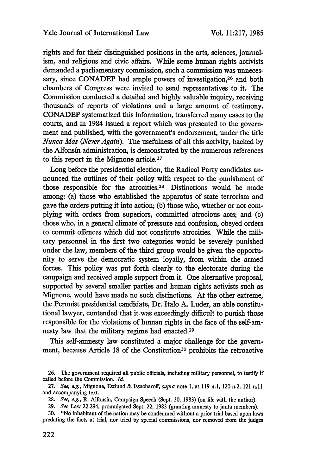rights and for their distinguished positions in the arts, sciences, journalism, and religious and civic affairs. While some human rights activists demanded a parliamentary commission, such a commission was unnecessary, since CONADEP had ample powers of investigation,<sup>26</sup> and both chambers of Congress were invited to send representatives to it. The Commission conducted a detailed and highly valuable inquiry, receiving thousands of reports of violations and a large amount of testimony. CONADEP systematized this information, transferred many cases to the courts, and in 1984 issued a report which was presented to the government and published, with the government's endorsement, under the title *Nunca Mas (Never Again).* The usefulness of all this activity, backed by the Alfonsin administration, is demonstrated by the numerous references to this report in the Mignone article.<sup>27</sup>

Long before the presidential election, the Radical Party candidates announced the outlines of their policy with respect to the punishment of those responsible for the atrocities.<sup>28</sup> Distinctions would be made among: (a) those who established the apparatus of state terrorism and gave the orders putting it into action; **(b)** those who, whether or not complying with orders from superiors, committed atrocious acts; and (c) those who, in a general climate of pressure and confusion, obeyed orders to commit offences which did not constitute atrocities. While the military personnel in the first two categories would be severely punished under the law, members of the third group would be given the opportunity to serve the democratic system loyally, from within the armed forces. This policy was put forth clearly to the electorate during the campaign and received ample support from it. One alternative proposal, supported by several smaller parties and human rights activists such as Mignone, would have made no such distinctions. At the other extreme, the Peronist presidential candidate, Dr. Italo A. Luder, an able constitutional lawyer, contended that it was exceedingly difficult to punish those responsible for the violations of human rights in the face of the self-amnesty law that the military regime had enacted.<sup>29</sup>

This self-amnesty law constituted a major challenge for the government, because Article 18 of the Constitution<sup>30</sup> prohibits the retroactive

<sup>26.</sup> The government required all public officials, including military personnel, to testify if called before the Commission. *Id.*

<sup>27.</sup> *See, eg.,* Mignone, Estlund & Issacharoff, *supra* note **1,** at 119 n.1, 120 n.2, 121 n.lI and accompanying text.

<sup>28.</sup> *See, eg.,* R. Alfonsin, Campaign Speech (Sept. 30, 1983) (on file with the author).

<sup>29.</sup> *See* Law 22.294, promulgated Sept. 22, 1983 (granting amnesty to junta members).

<sup>30. &</sup>quot;No inhabitant of the nation may be condemned without a prior trial based upon laws predating the facts at trial, nor tried by special commissions, nor removed from the judges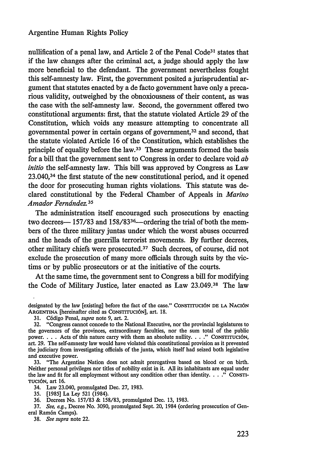nullification of a penal law, and Article 2 of the Penal Code31 states that if the law changes after the criminal act, a judge should apply the law more beneficial to the defendant. The government nevertheless fought this self-amnesty law. First, the government posited a jurisprudential argument that statutes enacted by a de facto government have only a precarious validity, outweighed by the obnoxiousness of their content, as was the case with the self-amnesty law. Second, the government offered two constitutional arguments: first, that the statute violated Article 29 of the Constitution, which voids any measure attempting to concentrate all governmental power in certain organs of government, 32 and second, that the statute violated Article 16 of the Constitution, which establishes the principle of equality before the law.33 These arguments formed the basis for a bill that the government sent to Congress in order to declare void *ab initio* the self-amnesty law. This bill was approved by Congress as Law 23.040,34 the first statute of the new constitutional period, and it opened the door for prosecuting human rights violations. This statute was declared constitutional by the Federal Chamber of Appeals in *Marino Amador Ferndndez.35*

The administration itself encouraged such prosecutions by enacting two decrees— 157/83 and 158/83<sup>36</sup>—ordering the trial of both the members of the three military juntas under which the worst abuses occurred and the heads of the guerrilla terrorist movements. **By** further decrees, other military chiefs were prosecuted.37 Such decrees, of course, did not exclude the prosecution of many more officials through suits by the victims or by public prosecutors or at the initiative of the courts.

At the same time, the government sent to Congress a bill for modifying the Code of Military Justice, later enacted as Law 23.049.<sup>38</sup> The law

33. "The Argentine Nation does not admit prerogatives based on blood or on birth. Neither personal privileges nor titles of nobility exist in it. All its inhabitants are equal under the law and fit for all employment without any condition other than identity. . . ." CONSTI-**TUCI6N,** art 16.

34. Law 23.040, promulgated Dec. 27, 1983.

**35.** [1985] La Ley 521 (1984).

36. Decrees No. 157/83 & 158/83, promulgated Dec. 13, 1983.

37. *See, e.g.,* Decree No. 3090, promulgated Sept. 20, 1984 (ordering prosecution of General Ram6n Camps).

38. *See supra* note 22.

designated by the law [existing] before the fact of the case." CoNSTrrucI6N **DE** LA NAcI6N ARGENTINA *[hereinafter cited as CONSTITUCIÓN]*, art. 18.

<sup>31.</sup> C6digo Penal, *supra* note 9, art. 2.

<sup>32. &</sup>quot;Congress cannot concede to the National Executive, nor the provincial legislatures to the governors of the provinces, extraordinary faculties, nor the sum total of the public power.. **.** . Acts of this nature carry with them an absolute nullity... **."** CONSTITUCI6N, art. 29. The self-amnesty law would have violated this constitutional provision as it prevented the judiciary from investigating officials of the junta, which itself had seized both legislative and executive power.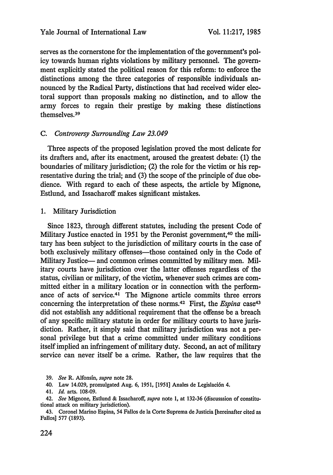serves as the cornerstone for the implementation of the government's policy towards human rights violations by military personnel. The government explicitly stated the political reason for this reform: to enforce the distinctions among the three categories of responsible individuals announced by the Radical Party, distinctions that had received wider electoral support than proposals making no distinction, and to allow the army forces to regain their prestige by making these distinctions themselves.<sup>39</sup>

# *C. Controversy Surrounding Law 23.049*

Three aspects of the proposed legislation proved the most delicate for its drafters and, after its enactment, aroused the greatest debate: (1) the boundaries of military jurisdiction; (2) the role for the victim or his representative during the trial; and (3) the scope of the principle of due obedience. With regard to each of these aspects, the article by Mignone, Estlund, and Issacharoff makes significant mistakes.

1. Military Jurisdiction

Since 1823, through different statutes, including the present Code of Military Justice enacted in 1951 by the Peronist government,<sup>40</sup> the military has been subject to the jurisdiction of military courts in the case of both exclusively military offenses—those contained only in the Code of Military Justice— and common crimes committed by military men. Military courts have jurisdiction over the latter offenses regardless of the status, civilian or military, of the victim, whenever such crimes are committed either in a military location or in connection with the performance of acts of service. 41 The Mignone article commits three errors concerning the interpretation of these norms.<sup>42</sup> First, the *Espina* case<sup>43</sup> did not establish any additional requirement that the offense be a breach of any specific military statute in order for military courts to have jurisdiction. Rather, it simply said that military jurisdiction was not a personal privilege but that a crime committed under military conditions itself implied an infringement of military duty. Second, an act of military service can never itself be a crime. Rather, the law requires that the

<sup>39.</sup> *See* R. Alfonsin, *supra* note 28.

<sup>40.</sup> Law 14.029, promulgated Aug. 6, 1951, [1951] Anales de Legislaci6n 4.

<sup>41.</sup> *Id.* arts. 108-09.

<sup>42.</sup> *See* Mignone, Estlund & Issacharoff, *supra* note 1, at 132-36 (discusssion of constitutional attack on military jurisdiction).

<sup>43.</sup> Coronel Marino Espina, 54 Fallos de la Corte Suprema de Justicia [hereinafter cited as Fallos] 577 (1893).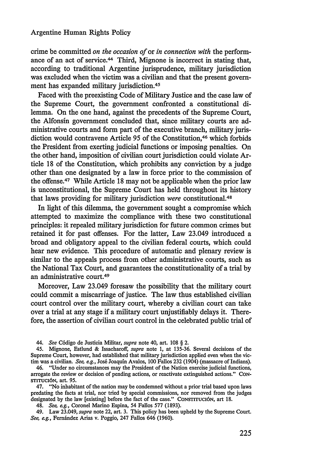crime be committed *on the occasion of or in connection with* the performance of an act of service. 44 Third, Mignone is incorrect in stating that, according to traditional Argentine jurisprudence, military jurisdiction was excluded when the victim was a civilian and that the present government has expanded military jurisdiction. <sup>45</sup>

Faced with the preexisting Code of Military Justice and the case law of the Supreme Court, the government confronted a constitutional dilemma. On the one hand, against the precedents of the Supreme Court, the Alfonsin government concluded that, since military courts are administrative courts and form part of the executive branch, military jurisdiction would contravene Article 95 of the Constitution,<sup>46</sup> which forbids the President from exerting judicial functions or imposing penalties. On the other hand, imposition of civilian court jurisdiction could violate Article 18 of the Constitution, which prohibits any conviction by a judge other than one designated by a law in force prior to the commission of the offense. 47 While Article 18 may not be applicable when the prior law is unconstitutional, the Supreme Court has held throughout its history that laws providing for military jurisdiction *were* constitutional.<sup>48</sup>

In light of this dilemma, the government sought a compromise which attempted to maximize the compliance with these two constitutional principles: it repealed military jurisdiction for future common crimes but retained it for past offenses. For the latter, Law 23.049 introduced a broad and obligatory appeal to the civilian federal courts, which could hear new evidence. This procedure of automatic and plenary review is similar to the appeals process from other administrative courts, such as the National Tax Court, and guarantees the constitutionality of a trial by an administrative court.<sup>49</sup>

Moreover, Law 23.049 foresaw the possibility that the military court could commit a miscarriage of justice. The law thus established civilian court control over the military court, whereby a civilian court can take over a trial at any stage if a military court unjustifiably delays it. Therefore, the assertion of civilian court control in the celebrated public trial of

47. "No inhabitant of the nation may be condemned without a prior trial based upon laws predating the facts at trial, nor tried by special commissions, nor removed from the judges designated by the law [existing] before the fact of the case." CONsTrrucI6N, art **18.**

48. *See,* e.g., Coronel Marino Espina, 54 Fallos 577 (1893).

49. Law 23.049, *supra* note 22, art. 3. This policy has been upheld by the Supreme Court. *See, e.g.,* Fernandez Arias v. Poggio, 247 Fallos 646 (1960).

*<sup>44.</sup> See* C6digo de Justicia Militar, *supra* note 40, art. 108 § 2.

<sup>45.</sup> Mignone, Estlund & Issacharoff, *supra* note 1, at 135-36. Several decisions of the Supreme Court, however, had established that military jurisdiction applied even when the victim was a civilian. *See, e.g.,* Jos6 Joaquin Avalos, 100 Fallos 232 (1904) (massacre of Indians).

<sup>46. &</sup>quot;Under no circumstances may the President of the Nation exercise judicial functions, arrogate the review or decision of pending actions, or reactivate extinguished actions." CONsTITUCI6N, art. 95.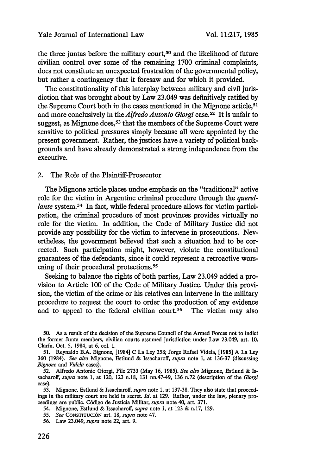the three juntas before the military court,<sup>50</sup> and the likelihood of future civilian control over some of the remaining 1700 criminal complaints, does not constitute an unexpected frustration of the governmental policy, but rather a contingency that it foresaw and for which it provided.

The constitutionality of this interplay between military and civil jurisdiction that was brought about by Law 23.049 was definitively ratified by the Supreme Court both in the cases mentioned in the Mignone article,<sup>51</sup> and more conclusively in the *Alfredo Antonio Giorgi* case.<sup>52</sup> It is unfair to suggest, as Mignone does,  $53$  that the members of the Supreme Court were sensitive to political pressures simply because all were appointed by the present government. Rather, the justices have a variety of political backgrounds and have already demonstrated a strong independence from the executive.

#### 2. The Role of the Plaintiff-Prosecutor

The Mignone article places undue emphasis on the "traditional" active role for the victim in Argentine criminal procedure through the *querellante* system.<sup>54</sup> In fact, while federal procedure allows for victim participation, the criminal procedure of most provinces provides virtually no role for the victim. In addition, the Code of Military Justice did not provide any possibility for the victim to intervene in prosecutions. Nevertheless, the government believed that such a situation had to be corrected. Such participation might, however, violate the constitutional guarantees of the defendants, since it could represent a retroactive worsening of their procedural protections.<sup>55</sup>

Seeking to balance the rights of both parties, Law 23.049 added a provision to Article 100 of the Code of Military Justice. Under this provision, the victim of the crime or his relatives can intervene in the military procedure to request the court to order the production of any evidence and to appeal to the federal civilian court.<sup>56</sup> The victim may also

- 54. Mignone, Estlund & Issacharoff, *supra* note 1, at 123 & n.17, 129.
- **55.** *See* **CONSTITUci6N** art. **18,** *supra* note 47.
- 56. Law 23.049, *supra* note 22, art. 9.

<sup>50.</sup> As a result of the decision of the Supreme Council of the Armed Forces not to indict the former Junta members, civilian courts assumed jurisdiction under Law 23.049, art. **10.** Clarin, Oct. 5, 1984, at 6, col. 1.

<sup>51.</sup> Reynaldo B.A. Bignone, [1984] C La Ley 258; Jorge Rafael Videla, [1985] A La Ley 360 (1984). *See also* Mignone, Estlund & Issacharoff, *supra* note 1, at 136-37 (discussing *Bignone* and *Videla* cases).

<sup>52.</sup> Alfredo Antonio Giorgi, File 2733 (May 16, 1985). *See also* Mignone, Estlund & Issacharoff, *supra* note 1, at 120, 123 n.18, 131 nn.47-49, 136 n.72 (description of the *Giorgi* case).

<sup>53.</sup> Mignone, Estlund & Issacharoff, *supra* note **1,** at 137-38. They also state that proceedings in the military court are held in secret. *Id.* at 129. Rather, under the law, plenary proceedings are public. C6digo de Justicia Militar, *supra* note 40, art. 371.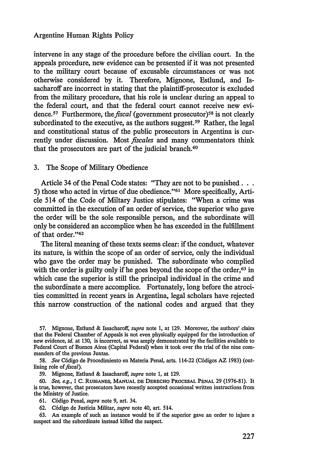intervene in any stage of the procedure before the civilian court. In the appeals procedure, new evidence can be presented if it was not presented to the military court because of excusable circumstances or was not otherwise considered by it. Therefore, Mignone, Estlund, and Issacharoff are incorrect in stating that the plaintiff-prosecutor is excluded from the military procedure, that his role is unclear during an appeal to the federal court, and that the federal court cannot receive new evidence.<sup>57</sup> Furthermore, the *fiscal* (government prosecutor)<sup>58</sup> is not clearly subordinated to the executive, as the authors suggest.<sup>59</sup> Rather, the legal and constitutional status of the public prosecutors in Argentina is currently under discussion. Most *fiscales* and many commentators think that the prosecutors are part of the judicial branch.<sup>60</sup>

#### 3. The Scope of Military Obedience

Article 34 of the Penal Code states: "They are not to be punished... 5) those who acted in virtue of due obedience."<sup>61</sup> More specifically, Article 514 of the Code of Miltary Justice stipulates: "When a crime was committed in the execution of an order of service, the superior who gave the order will be the sole responsible person, and the subordinate will only be considered an accomplice when he has exceeded in the fulfillment of that order."<sup>62</sup>

The literal meaning of these texts seems clear: if the conduct, whatever its nature, is within the scope of an order of service, only the individual who gave the order may be punished. The subordinate who complied with the order is guilty only if he goes beyond the scope of the order,<sup>63</sup> in which case the superior is still the principal individual in the crime and the subordinate a mere accomplice. Fortunately, long before the atrocities committed in recent years in Argentina, legal scholars have rejected this narrow construction of the national codes and argued that they

57. Mignone, Estlund & Issacharoff, *supra* note 1, at 129. Moreover, the authors' claim that the Federal Chamber of Appeals is not even physically equipped for the introduction of new evidence, *id.* at 130, is incorrect, as was amply demonstrated by the facilities available to Federal Court of Buenos Aires (Capital Federal) when it took over the trial of the nine commanders of the previous Juntas.

58. *See* C6digo de Procedimiento en Materia Penal, arts. 114-22 (C6digos AZ 1983) (outlining role *of fiscal).*

59. Mignone, Estlund & Issacharoff, *supra* note 1, at 129.

**60.** *See, ag., 1* **C.** RUBIANES, **MANUAL DE** DERECHO PROCESAL **PENAL** 29 **(1976-81).** It is true, however, that prosecutors have recently accepted occasional written instructions from the Ministry of Justice.

**61.** C6digo Penal, *supra* note 9, art. 34.

**62.** C6digo de Justicia Militar, *supra* note 40, art. 514.

**63.** An example of such an instance would be if the superior gave an order to injure a suspect and the subordinate instead killed the suspect.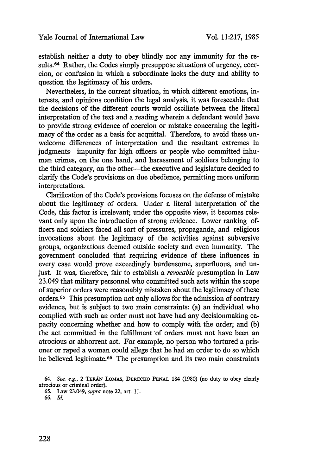establish neither a duty to obey blindly nor any immunity for the results.<sup>64</sup> Rather, the Codes simply presuppose situations of urgency, coercion, or confusion in which a subordinate lacks the duty and ability to question the legitimacy of his orders.

Nevertheless, in the current situation, in which different emotions, interests, and opinions condition the legal analysis, it was foreseeable that the decisions of the different courts would oscillate between the literal interpretation of the text and a reading wherein a defendant would have to provide strong evidence of coercion or mistake concerning the legitimacy of the order as a basis for acquittal. Therefore, to avoid these unwelcome differences of interpretation and the resultant extremes in judgments—impunity for high officers or people who committed inhuman crimes, on the one hand, and harassment of soldiers belonging to the third category, on the other—the executive and legislature decided to clarify the Code's provisions on due obedience, permitting more uniform interpretations.

Clarification of the Code's provisions focuses on the defense of mistake about the legitimacy of orders. Under a literal interpretation of the Code, this factor is irrelevant; under the opposite view, it becomes relevant only upon the introduction of strong evidence. Lower ranking officers and soldiers faced all sort of pressures, propaganda, and religious invocations about the legitimacy of the activities against subversive groups, organizations deemed outside society and even humanity. The government concluded that requiring evidence of these influences in every case would prove exceedingly burdensome, superfluous, and unjust. It was, therefore, fair to establish a *revocable* presumption in Law 23.049 that military personnel who committed such acts within the scope of superior orders were reasonably mistaken about the legitimacy of these orders. 65 This presumption not only allows for the admission of contrary evidence, but is subject to two main constraints: (a) an individual who complied with such an order must not have had any decisionmaking capacity concerning whether and how to comply with the order; and (b) the act committed in the fulfillment of orders must not have been an atrocious or abhorrent act. For example, no person who tortured a prisoner or raped a woman could allege that he had an order to do so which he believed legitimate.<sup>66</sup> The presumption and its two main constraints

*<sup>64.</sup> See, e.g.,* 2 TERAN LOMAS, DERECHO **PENAL** 184 (1980) (no duty to obey clearly atrocious or criminal order).

<sup>65.</sup> Law 23.049, *supra* note 22, art. 11.

<sup>66.</sup> *Id.*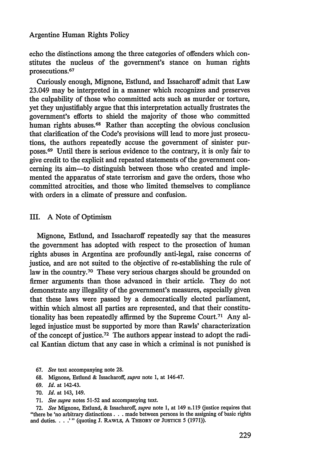echo the distinctions among the three categories of offenders which constitutes the nucleus of the government's stance on human rights prosecutions. <sup>67</sup>

Curiously enough, Mignone, Estlund, and Issacharoff admit that Law 23.049 may be interpreted in a manner which recognizes and preserves the culpability of those who committed acts such as murder or torture, yet they unjustifiably argue that this interpretation actually frustrates the government's efforts to shield the majority of those who committed human rights abuses.<sup>68</sup> Rather than accepting the obvious conclusion that clarification of the Code's provisions will lead to more just prosecutions, the authors repeatedly accuse the government of sinister purposes.69 Until there is serious evidence to the contrary, it is only fair to give credit to the explicit and repeated statements of the government concerning its aim-to distinguish between those who created and implemented the apparatus of state terrorism and gave the orders, those who committed atrocities, and those who limited themselves to compliance with orders in a climate of pressure and confusion.

### III. A Note of Optimism

Mignone, Estlund, and Issacharoff repeatedly say that the measures the government has adopted with respect to the prosection of human rights abuses in Argentina are profoundly anti-legal, raise concerns of justice, and are not suited to the objective of re-establishing the rule of law in the country.<sup>70</sup> These very serious charges should be grounded on firmer arguments than those advanced in their article. They do not demonstrate any illegality of the government's measures, especially given that these laws were passed by a democratically elected parliament, within which almost all parties are represented, and that their constitutionality has been repeatedly affirmed by the Supreme Court.71 Any alleged injustice must be supported by more than Rawls' characterization of the concept of justice.72 The authors appear instead to adopt the radical Kantian dictum that any case in which a criminal is not punished is

- 67. *See* text accompanying note 28.
- 68. Mignone, Estlund & Issacharoff, *supra* note 1, at 146-47.
- 69. *Id.* at 142-43.
- 70. *Id.* at 143, 149.
- 71. *See supra* notes 51-52 and accompanying text.

72. *See* Mignone, Estlund, & Issacharoff, *supra* note 1, at 149 n.l **19** (justice requires that "there be 'no arbitrary distinctions. **. .** made between persons in the assigning of basic rights and duties **... '** (quoting J. RAwLs, A THEORY OF **JUSTICE** 5 (1971)).